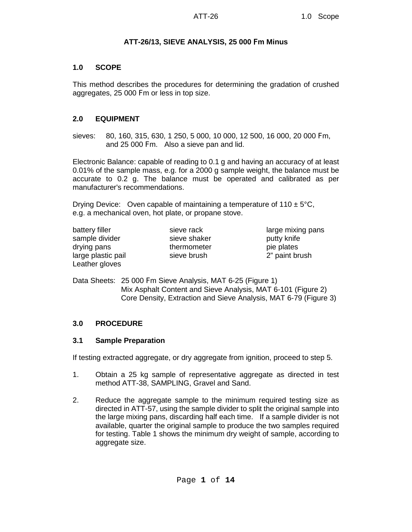### **ATT-26/13, SIEVE ANALYSIS, 25 000** F**m Minus**

### **1.0 SCOPE**

This method describes the procedures for determining the gradation of crushed aggregates, 25 000 Fm or less in top size.

### **2.0 EQUIPMENT**

sieves: 80, 160, 315, 630, 1 250, 5 000, 10 000, 12 500, 16 000, 20 000 Fm, and 25 000 Fm. Also a sieve pan and lid.

Electronic Balance: capable of reading to 0.1 g and having an accuracy of at least 0.01% of the sample mass, e.g. for a 2000 g sample weight, the balance must be accurate to 0.2 g. The balance must be operated and calibrated as per manufacturer's recommendations.

Drying Device: Oven capable of maintaining a temperature of  $110 \pm 5^{\circ}$ C, e.g. a mechanical oven, hot plate, or propane stove.

| battery filler     | sieve rack   | large mixing pans |
|--------------------|--------------|-------------------|
| sample divider     | sieve shaker | putty knife       |
| drying pans        | thermometer  | pie plates        |
| large plastic pail | sieve brush  | 2" paint brush    |
| Leather gloves     |              |                   |

Data Sheets: 25 000 Fm Sieve Analysis, MAT 6-25 (Figure 1) Mix Asphalt Content and Sieve Analysis, MAT 6-101 (Figure 2) Core Density, Extraction and Sieve Analysis, MAT 6-79 (Figure 3)

## **3.0 PROCEDURE**

#### **3.1 Sample Preparation**

If testing extracted aggregate, or dry aggregate from ignition, proceed to step 5.

- 1. Obtain a 25 kg sample of representative aggregate as directed in test method ATT-38, SAMPLING, Gravel and Sand.
- 2. Reduce the aggregate sample to the minimum required testing size as directed in ATT-57, using the sample divider to split the original sample into the large mixing pans, discarding half each time. If a sample divider is not available, quarter the original sample to produce the two samples required for testing. Table 1 shows the minimum dry weight of sample, according to aggregate size.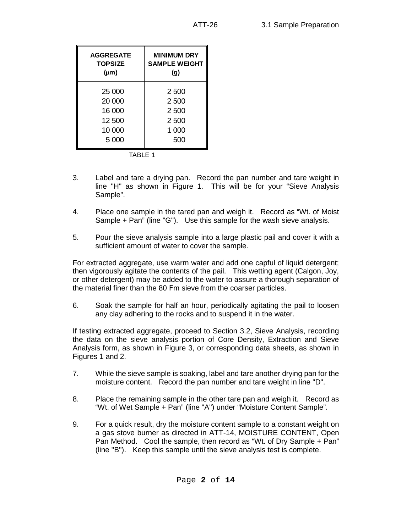| 2 500 |
|-------|
| 2500  |
| 2 500 |
| 2500  |
| 1 000 |
| 500   |
|       |

- TABLE 1
- 3. Label and tare a drying pan. Record the pan number and tare weight in line "H" as shown in Figure 1. This will be for your "Sieve Analysis Sample".
- 4. Place one sample in the tared pan and weigh it. Record as "Wt. of Moist Sample + Pan" (line "G"). Use this sample for the wash sieve analysis.
- 5. Pour the sieve analysis sample into a large plastic pail and cover it with a sufficient amount of water to cover the sample.

For extracted aggregate, use warm water and add one capful of liquid detergent; then vigorously agitate the contents of the pail. This wetting agent (Calgon, Joy, or other detergent) may be added to the water to assure a thorough separation of the material finer than the 80 Fm sieve from the coarser particles.

6. Soak the sample for half an hour, periodically agitating the pail to loosen any clay adhering to the rocks and to suspend it in the water.

If testing extracted aggregate, proceed to Section 3.2, Sieve Analysis, recording the data on the sieve analysis portion of Core Density, Extraction and Sieve Analysis form, as shown in Figure 3, or corresponding data sheets, as shown in Figures 1 and 2.

- 7. While the sieve sample is soaking, label and tare another drying pan for the moisture content. Record the pan number and tare weight in line "D".
- 8. Place the remaining sample in the other tare pan and weigh it. Record as "Wt. of Wet Sample + Pan" (line "A") under "Moisture Content Sample".
- 9. For a quick result, dry the moisture content sample to a constant weight on a gas stove burner as directed in ATT-14, MOISTURE CONTENT, Open Pan Method. Cool the sample, then record as "Wt. of Dry Sample + Pan" (line "B"). Keep this sample until the sieve analysis test is complete.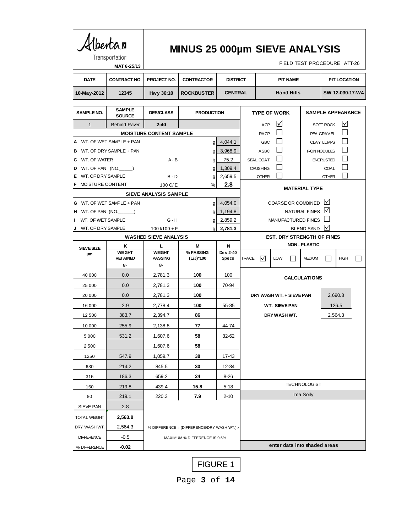|        | Mbertar                                         | Transportation<br>MAT 6-25/13          |                                           |                                            | <b>MINUS 25 000µm SIEVE ANALYSIS</b><br>FIELD TEST PROCEDURE ATT-26 |                                     |                                                 |                      |                         |                     |  |  |
|--------|-------------------------------------------------|----------------------------------------|-------------------------------------------|--------------------------------------------|---------------------------------------------------------------------|-------------------------------------|-------------------------------------------------|----------------------|-------------------------|---------------------|--|--|
|        | <b>DATE</b>                                     | <b>CONTRACT NO.</b>                    | PROJECT NO.                               | <b>CONTRACTOR</b>                          | <b>DISTRICT</b>                                                     |                                     | <b>PIT NAME</b>                                 |                      |                         | <b>PIT LOCATION</b> |  |  |
|        | 10-May-2012                                     | 12345                                  | Hwy 36:10<br><b>ROCKBUSTER</b>            |                                            |                                                                     | <b>CENTRAL</b>                      | <b>Hand Hills</b><br>SW 12-030-17-W4            |                      |                         |                     |  |  |
|        | <b>SAMPLE NO.</b>                               | <b>SAMPLE</b><br><b>SOURCE</b>         | <b>DES/CLASS</b><br><b>PRODUCTION</b>     |                                            |                                                                     |                                     | <b>SAMPLE APPEARANCE</b><br><b>TYPE OF WORK</b> |                      |                         |                     |  |  |
|        | $\mathbf{1}$<br><b>Behind Paver</b><br>$2 - 40$ |                                        |                                           |                                            |                                                                     |                                     | ☑<br><b>ACP</b>                                 |                      | <b>SOFT ROCK</b>        | ⊠                   |  |  |
|        |                                                 |                                        | <b>MOISTURE CONTENT SAMPLE</b>            |                                            |                                                                     | <b>RACP</b>                         | $\perp$                                         |                      | PEA GRAVEL              |                     |  |  |
|        |                                                 | A WT. OF WET SAMPLE + PAN              |                                           | g                                          | 4,044.1                                                             |                                     | $\vert \ \vert$<br><b>GBC</b>                   |                      | <b>CLAY LUMPS</b>       |                     |  |  |
| в      |                                                 | WT. OF DRY SAMPLE + PAN                |                                           | gl                                         | 3,968.9                                                             | <b>ASBC</b>                         |                                                 |                      | <b>IRON NODULES</b>     |                     |  |  |
| C      | WT. OF WATER                                    |                                        | $A - B$                                   | g                                          | 75.2                                                                | SEAL COAT                           |                                                 |                      | <b>ENCRUSTED</b>        |                     |  |  |
| D      |                                                 | WT. OF PAN (NO.                        |                                           | g                                          | 1,309.4                                                             | <b>CRUSHING</b>                     |                                                 |                      | COAL                    |                     |  |  |
| Е<br>F | WT. OF DRY SAMPLE<br>MOISTURE CONTENT           |                                        | $B - D$                                   | g                                          | 2,659.5<br>2.8                                                      | <b>OTHER</b>                        |                                                 |                      | <b>OTHER</b>            |                     |  |  |
|        |                                                 |                                        | 100 $C/E$<br><b>SIEVE ANALYSIS SAMPLE</b> | %                                          |                                                                     |                                     |                                                 | <b>MATERIAL TYPE</b> |                         |                     |  |  |
| G      |                                                 | WT. OF WET SAMPLE + PAN                |                                           | g                                          | 4,054.0                                                             |                                     | COARSE OR COMBINED                              |                      | $\mathsf{I} \mathsf{V}$ |                     |  |  |
| IH.    |                                                 | WT. OF PAN (NO.                        |                                           | g                                          | 1,194.8                                                             | $\mathsf{V}$<br>NATURAL FINES       |                                                 |                      |                         |                     |  |  |
|        | WT. OF WET SAMPLE                               |                                        | $G - H$                                   | g                                          | 2,859.2                                                             | MANUFACTURED FINES                  |                                                 |                      |                         |                     |  |  |
| J      | WT. OF DRY SAMPLE                               |                                        | $100$ $1/100$ + F                         | 2,781.3                                    | ⋈<br><b>BLEND SAND</b>                                              |                                     |                                                 |                      |                         |                     |  |  |
|        |                                                 |                                        | <b>WASHED SIEVE ANALYSIS</b>              |                                            |                                                                     | <b>EST. DRY STRENGTH OF FINES</b>   |                                                 |                      |                         |                     |  |  |
|        | <b>SIEVE SIZE</b>                               | Κ                                      | L                                         | м                                          | N                                                                   |                                     | <b>NON - PLASTIC</b>                            |                      |                         |                     |  |  |
|        | μm                                              | <b>WEIGHT</b><br><b>RETAINED</b><br>g. | <b>WEIGHT</b><br><b>PASSING</b><br>g.     | % PASSING<br>(L/J)*100                     | Des 2-40<br>Specs                                                   | <b>TRACE</b><br>$\mathcal{M}$       | <b>LOW</b>                                      | <b>MEDIUM</b>        |                         | <b>HIGH</b>         |  |  |
|        | 40 000                                          | 0.0                                    | 2,781.3                                   | 100                                        | 100                                                                 |                                     |                                                 | <b>CALCULATIONS</b>  |                         |                     |  |  |
|        | 25 000                                          | 0.0                                    | 2,781.3                                   | 100                                        | 70-94                                                               |                                     |                                                 |                      |                         |                     |  |  |
|        | 20 000                                          | 0.0                                    | 2,781.3                                   | 100                                        |                                                                     | DRY WASH WT. + SIEVE PAN<br>2.690.8 |                                                 |                      |                         |                     |  |  |
|        | 16 000                                          | 2.9                                    | 2,778.4                                   | 100                                        | 55-85                                                               |                                     | <b>WT. SIEVE PAN</b>                            |                      |                         | 126.5               |  |  |
|        | 12 500                                          | 383.7                                  | 2,394.7                                   | 86                                         |                                                                     |                                     | DRY WASH WT.                                    |                      |                         | 2,564.3             |  |  |
|        | 10 000                                          | 255.9                                  | 2.138.8                                   | 77                                         | 44-74                                                               |                                     |                                                 |                      |                         |                     |  |  |
|        | 5 0 0 0                                         | 531.2                                  | 1,607.6                                   | 58                                         | 32-62                                                               |                                     |                                                 |                      |                         |                     |  |  |
|        | 2500                                            |                                        | 1,607.6                                   | 58                                         |                                                                     |                                     |                                                 |                      |                         |                     |  |  |
|        | 1250                                            | 547.9                                  | 1,059.7                                   | 38                                         | 17-43                                                               |                                     |                                                 |                      |                         |                     |  |  |
|        | 630                                             | 214.2                                  | 845.5                                     | 30                                         | 12-34                                                               |                                     |                                                 |                      |                         |                     |  |  |
|        | 315                                             | 186.3                                  | 659.2                                     | 24                                         | 8-26                                                                |                                     |                                                 |                      |                         |                     |  |  |
|        | 160                                             | 219.8                                  | 439.4                                     | 15.8                                       | 5-18                                                                |                                     |                                                 | <b>TECHNOLOGIST</b>  |                         |                     |  |  |
|        | 80                                              | 219.1                                  | 220.3                                     | 7.9                                        | 2-10                                                                |                                     |                                                 | Ima Soily            |                         |                     |  |  |
|        | SIEVE PAN                                       | 2.8                                    |                                           |                                            |                                                                     |                                     |                                                 |                      |                         |                     |  |  |
|        | <b>TOTAL WEIGHT</b>                             | 2,563.8                                |                                           |                                            |                                                                     |                                     |                                                 |                      |                         |                     |  |  |
|        | DRY WASH WT.                                    | 2,564.3                                |                                           | % DIFFERENCE = (DIFFERENCE/DRY WASH WT.) x |                                                                     |                                     |                                                 |                      |                         |                     |  |  |
|        | <b>DIFFERENCE</b>                               | $-0.5$                                 |                                           | MAXIMUM % DIFFERENCE IS 0.5%               |                                                                     |                                     |                                                 |                      |                         |                     |  |  |
|        |                                                 |                                        |                                           |                                            |                                                                     |                                     |                                                 |                      |                         |                     |  |  |

FIGURE 1

Page **3** of **14**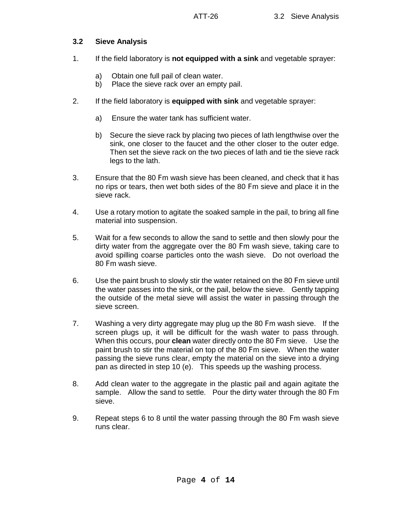### **3.2 Sieve Analysis**

- 1. If the field laboratory is **not equipped with a sink** and vegetable sprayer:
	- a) Obtain one full pail of clean water.
	- b) Place the sieve rack over an empty pail.
- 2. If the field laboratory is **equipped with sink** and vegetable sprayer:
	- a) Ensure the water tank has sufficient water.
	- b) Secure the sieve rack by placing two pieces of lath lengthwise over the sink, one closer to the faucet and the other closer to the outer edge. Then set the sieve rack on the two pieces of lath and tie the sieve rack legs to the lath.
- 3. Ensure that the 80 Fm wash sieve has been cleaned, and check that it has no rips or tears, then wet both sides of the 80 Fm sieve and place it in the sieve rack.
- 4. Use a rotary motion to agitate the soaked sample in the pail, to bring all fine material into suspension.
- 5. Wait for a few seconds to allow the sand to settle and then slowly pour the dirty water from the aggregate over the 80 Fm wash sieve, taking care to avoid spilling coarse particles onto the wash sieve. Do not overload the 80 Fm wash sieve.
- 6. Use the paint brush to slowly stir the water retained on the 80 Fm sieve until the water passes into the sink, or the pail, below the sieve. Gently tapping the outside of the metal sieve will assist the water in passing through the sieve screen.
- 7. Washing a very dirty aggregate may plug up the 80 Fm wash sieve. If the screen plugs up, it will be difficult for the wash water to pass through. When this occurs, pour **clean** water directly onto the 80 Fm sieve. Use the paint brush to stir the material on top of the 80 Fm sieve. When the water passing the sieve runs clear, empty the material on the sieve into a drying pan as directed in step 10 (e). This speeds up the washing process.
- 8. Add clean water to the aggregate in the plastic pail and again agitate the sample. Allow the sand to settle. Pour the dirty water through the 80 Fm sieve.
- 9. Repeat steps 6 to 8 until the water passing through the 80 Fm wash sieve runs clear.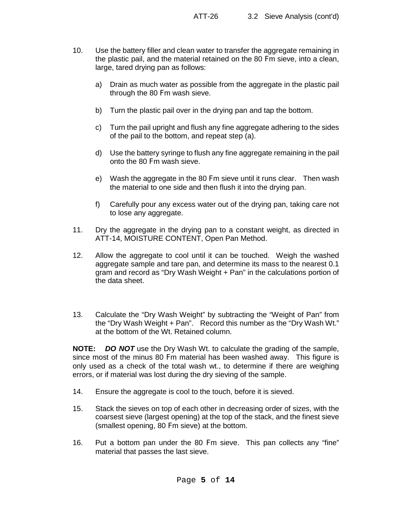- 10. Use the battery filler and clean water to transfer the aggregate remaining in the plastic pail, and the material retained on the 80 Fm sieve, into a clean, large, tared drying pan as follows:
	- a) Drain as much water as possible from the aggregate in the plastic pail through the 80 Fm wash sieve.
	- b) Turn the plastic pail over in the drying pan and tap the bottom.
	- c) Turn the pail upright and flush any fine aggregate adhering to the sides of the pail to the bottom, and repeat step (a).
	- d) Use the battery syringe to flush any fine aggregate remaining in the pail onto the 80 Fm wash sieve.
	- e) Wash the aggregate in the 80 Fm sieve until it runs clear. Then wash the material to one side and then flush it into the drying pan.
	- f) Carefully pour any excess water out of the drying pan, taking care not to lose any aggregate.
- 11. Dry the aggregate in the drying pan to a constant weight, as directed in ATT-14, MOISTURE CONTENT, Open Pan Method.
- 12. Allow the aggregate to cool until it can be touched. Weigh the washed aggregate sample and tare pan, and determine its mass to the nearest 0.1 gram and record as "Dry Wash Weight + Pan" in the calculations portion of the data sheet.
- 13. Calculate the "Dry Wash Weight" by subtracting the "Weight of Pan" from the "Dry Wash Weight + Pan". Record this number as the "Dry Wash Wt." at the bottom of the Wt. Retained column.

**NOTE:** *DO NOT* use the Dry Wash Wt. to calculate the grading of the sample, since most of the minus 80 Fm material has been washed away. This figure is only used as a check of the total wash wt., to determine if there are weighing errors, or if material was lost during the dry sieving of the sample.

- 14. Ensure the aggregate is cool to the touch, before it is sieved.
- 15. Stack the sieves on top of each other in decreasing order of sizes, with the coarsest sieve (largest opening) at the top of the stack, and the finest sieve (smallest opening, 80 Fm sieve) at the bottom.
- 16. Put a bottom pan under the 80 Fm sieve. This pan collects any "fine" material that passes the last sieve.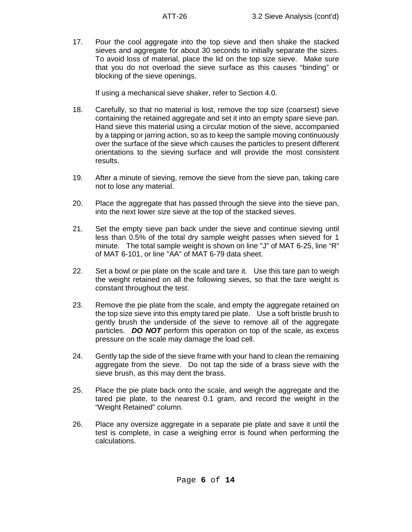17. Pour the cool aggregate into the top sieve and then shake the stacked sieves and aggregate for about 30 seconds to initially separate the sizes. To avoid loss of material, place the lid on the top size sieve. Make sure that you do not overload the sieve surface as this causes "binding" or blocking of the sieve openings.

If using a mechanical sieve shaker, refer to Section 4.0.

- 18. Carefully, so that no material is lost, remove the top size (coarsest) sieve containing the retained aggregate and set it into an empty spare sieve pan. Hand sieve this material using a circular motion of the sieve, accompanied by a tapping or jarring action, so as to keep the sample moving continuously over the surface of the sieve which causes the particles to present different orientations to the sieving surface and will provide the most consistent results.
- 19. After a minute of sieving, remove the sieve from the sieve pan, taking care not to lose any material.
- 20. Place the aggregate that has passed through the sieve into the sieve pan, into the next lower size sieve at the top of the stacked sieves.
- 21. Set the empty sieve pan back under the sieve and continue sieving until less than 0.5% of the total dry sample weight passes when sieved for 1 minute. The total sample weight is shown on line "J" of MAT 6-25, line "R" of MAT 6-101, or line "AA" of MAT 6-79 data sheet.
- 22. Set a bowl or pie plate on the scale and tare it. Use this tare pan to weigh the weight retained on all the following sieves, so that the tare weight is constant throughout the test.
- 23. Remove the pie plate from the scale, and empty the aggregate retained on the top size sieve into this empty tared pie plate. Use a soft bristle brush to gently brush the underside of the sieve to remove all of the aggregate particles. *DO NOT* perform this operation on top of the scale, as excess pressure on the scale may damage the load cell.
- 24. Gently tap the side of the sieve frame with your hand to clean the remaining aggregate from the sieve. Do not tap the side of a brass sieve with the sieve brush, as this may dent the brass.
- 25. Place the pie plate back onto the scale, and weigh the aggregate and the tared pie plate, to the nearest 0.1 gram, and record the weight in the "Weight Retained" column.
- 26. Place any oversize aggregate in a separate pie plate and save it until the test is complete, in case a weighing error is found when performing the calculations.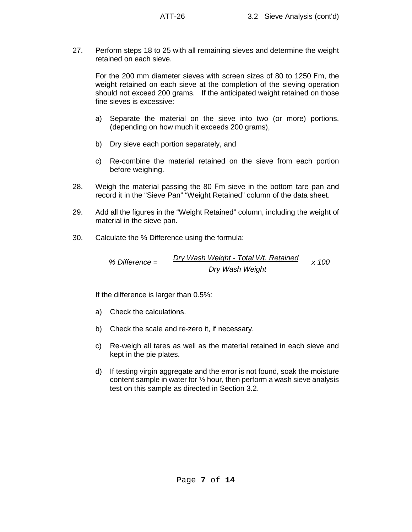27. Perform steps 18 to 25 with all remaining sieves and determine the weight retained on each sieve.

For the 200 mm diameter sieves with screen sizes of 80 to 1250 Fm, the weight retained on each sieve at the completion of the sieving operation should not exceed 200 grams. If the anticipated weight retained on those fine sieves is excessive:

- a) Separate the material on the sieve into two (or more) portions, (depending on how much it exceeds 200 grams),
- b) Dry sieve each portion separately, and
- c) Re-combine the material retained on the sieve from each portion before weighing.
- 28. Weigh the material passing the 80 Fm sieve in the bottom tare pan and record it in the "Sieve Pan" "Weight Retained" column of the data sheet.
- 29. Add all the figures in the "Weight Retained" column, including the weight of material in the sieve pan.
- 30. Calculate the % Difference using the formula:

*% Difference = Dry Wash Weight - Total Wt. Retained x 100 Dry Wash Weight*

If the difference is larger than 0.5%:

- a) Check the calculations.
- b) Check the scale and re-zero it, if necessary.
- c) Re-weigh all tares as well as the material retained in each sieve and kept in the pie plates.
- d) If testing virgin aggregate and the error is not found, soak the moisture content sample in water for  $\frac{1}{2}$  hour, then perform a wash sieve analysis test on this sample as directed in Section 3.2.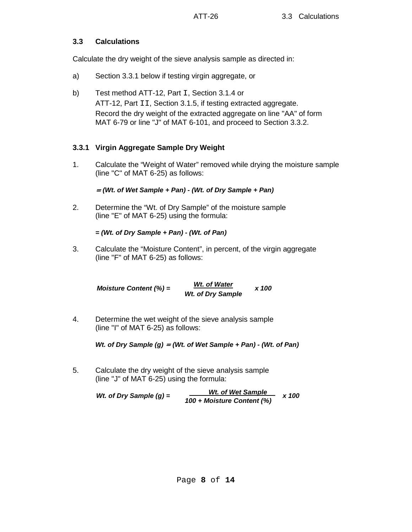### **3.3 Calculations**

Calculate the dry weight of the sieve analysis sample as directed in:

- a) Section 3.3.1 below if testing virgin aggregate, or
- b) Test method ATT-12, Part I, Section 3.1.4 or ATT-12, Part II, Section 3.1.5, if testing extracted aggregate. Record the dry weight of the extracted aggregate on line "AA" of form MAT 6-79 or line "J" of MAT 6-101, and proceed to Section 3.3.2.

# **3.3.1 Virgin Aggregate Sample Dry Weight**

1. Calculate the "Weight of Water" removed while drying the moisture sample (line "C" of MAT 6-25) as follows:

<sup>=</sup>*(Wt. of Wet Sample + Pan) - (Wt. of Dry Sample + Pan)*

2. Determine the "Wt. of Dry Sample" of the moisture sample (line "E" of MAT 6-25) using the formula:

### *= (Wt. of Dry Sample + Pan) - (Wt. of Pan)*

3. Calculate the "Moisture Content", in percent, of the virgin aggregate (line "F" of MAT 6-25) as follows:

*Moisture Content (%) = Wt. of Water x 100 Wt. of Dry Sample*

4. Determine the wet weight of the sieve analysis sample (line "I" of MAT 6-25) as follows:

*Wt. of Dry Sample (g)* = *(Wt. of Wet Sample + Pan) - (Wt. of Pan)*

5. Calculate the dry weight of the sieve analysis sample (line "J" of MAT 6-25) using the formula:

*Wt.* of Dry Sample (g) =  $\frac{Wt. \text{ of Wet Sample}}{100 + \text{Moisture Content (\%)}}$  x 100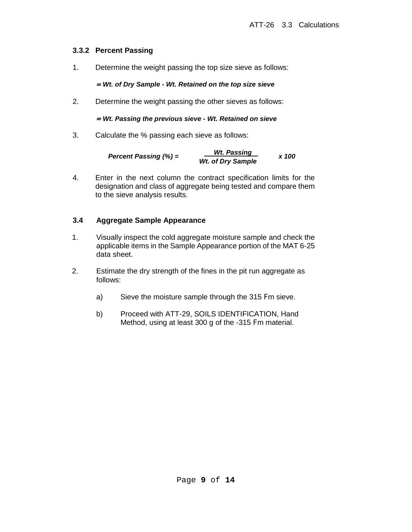### **3.3.2 Percent Passing**

1. Determine the weight passing the top size sieve as follows:

<sup>=</sup>*Wt. of Dry Sample - Wt. Retained on the top size sieve*

2. Determine the weight passing the other sieves as follows:

#### <sup>=</sup>*Wt. Passing the previous sieve - Wt. Retained on sieve*

3. Calculate the % passing each sieve as follows:

*Percent Passing (%)* =  $\frac{Wt. Passing}{Wt. of Dry Sample}$  x 100

4. Enter in the next column the contract specification limits for the designation and class of aggregate being tested and compare them to the sieve analysis results.

### **3.4 Aggregate Sample Appearance**

- 1. Visually inspect the cold aggregate moisture sample and check the applicable items in the Sample Appearance portion of the MAT 6-25 data sheet.
- 2. Estimate the dry strength of the fines in the pit run aggregate as follows:
	- a) Sieve the moisture sample through the 315 Fm sieve.
	- b) Proceed with ATT-29, SOILS IDENTIFICATION, Hand Method, using at least 300 g of the -315 Fm material.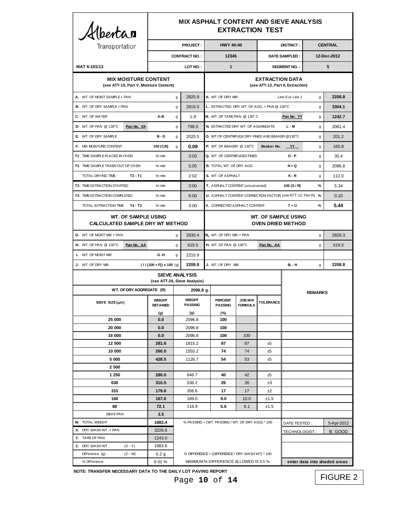| <b>MIX ASPHALT CONTENT AND SIEVE ANALYSIS</b><br>Albertan<br><b>EXTRACTION TEST</b> |                                                                      |                                |                                 |                       |                                                        |                                                                                          |                                                 |                                                               |                              |                |            |  |
|-------------------------------------------------------------------------------------|----------------------------------------------------------------------|--------------------------------|---------------------------------|-----------------------|--------------------------------------------------------|------------------------------------------------------------------------------------------|-------------------------------------------------|---------------------------------------------------------------|------------------------------|----------------|------------|--|
| Transportation                                                                      |                                                                      | <b>PROJECT:</b>                |                                 |                       |                                                        | <b>HWY 40:40</b>                                                                         |                                                 |                                                               | <b>DISTRICT:</b>             | <b>CENTRAL</b> |            |  |
|                                                                                     |                                                                      | <b>CONTRACT NO.:</b>           |                                 |                       |                                                        | 12345                                                                                    |                                                 |                                                               | DATE SAMPLED:                | 12-Dec-2012    |            |  |
| MAT 6-101/13                                                                        |                                                                      | LOT NO.:                       |                                 |                       |                                                        | $\mathbf{1}$                                                                             |                                                 |                                                               | <b>SEGMENT NO.:</b>          |                | 5          |  |
| <b>MIX MOISTURE CONTENT</b><br>(see ATT-15, Part V, Moisture Content)               |                                                                      |                                |                                 |                       |                                                        |                                                                                          |                                                 | <b>EXTRACTION DATA</b><br>(see ATT-12, Part II, Extraction)   |                              |                |            |  |
| A. WT. OF MOIST SAMPLE + PAN                                                        |                                                                      |                                | g                               | 2820.9                |                                                        | K. WT. OF DRY MIX<br>Line E or Line J                                                    |                                                 |                                                               |                              | g              | 2208.8     |  |
| <b>B.</b> WT. OF DRY SAMPLE + PAN<br>g                                              |                                                                      |                                | 2819.0                          |                       | L. EXTRACTED DRY WT. OF AGG. + PAN @ 130°C.<br>g       |                                                                                          |                                                 |                                                               |                              | 3304.1         |            |  |
| C. WT. OF WATER                                                                     |                                                                      | A-B                            | g                               | 1.9                   |                                                        | M. WT. OF TARE PAN @ 130°C                                                               |                                                 |                                                               | Pan No. YY                   | g              | 1242.7     |  |
| <b>D.</b> WT. OF PAN @ 130°C                                                        | Pan No. XX                                                           |                                | g                               | 798.5                 |                                                        | N. EXTRACTED DRY WT. OF AGGREGATE                                                        |                                                 |                                                               | L-M                          | g              | 2061.4     |  |
| E WT. OF DRY SAMPLE                                                                 |                                                                      | B-D                            | g                               | 2020.5                |                                                        |                                                                                          | O. WT.OF CENTRIFUGE DRY FINES AND BEAKER @130°C |                                                               |                              | g              | 201.2      |  |
| F. MIX MOISTURE CONTENT                                                             |                                                                      | 100 (C/E)                      | g                               | 0.09                  |                                                        | P. WT. OF BEAKER @ 130°C                                                                 |                                                 | Beaker No.                                                    | YY                           | g              | 165.8      |  |
| T1 TIME SAMPLE PLACED IN OVEN                                                       |                                                                      | hr:min                         |                                 | 3:03                  |                                                        | Q. WT. OF CENTRIFUGED FINES                                                              |                                                 |                                                               | $O - P$                      | g              | 35.4       |  |
| T2 TIME SAMPLE TAKEN OUT OF OVEN                                                    |                                                                      | hr:min                         |                                 | 5:05                  |                                                        | R. TOTAL WT. OF DRY AGG.                                                                 |                                                 |                                                               | $N + Q$                      | g              | 2096.8     |  |
| TOTAL DRYING TIME                                                                   | $T2 - T1$                                                            | hr:min                         |                                 | 2:02                  |                                                        | S. WT. OF ASPHALT                                                                        |                                                 |                                                               | $K - R$                      | g              | 112.0      |  |
| T3 TIME EXTRACTION STARTED                                                          |                                                                      | hr:min                         |                                 | 3:00                  |                                                        | T. ASPHALT CONTENT (uncorrected)                                                         |                                                 |                                                               | 100 $(S/R)$                  | %              | 5.34       |  |
| T4 TIME EXTRACTION COMPLETED                                                        |                                                                      | hr:min                         |                                 | 6:00                  |                                                        |                                                                                          |                                                 | U. ASPHALT CONTENT CORRECTION FACTOR (see ATT-12, Part III) % |                              |                | 0.10       |  |
| TOTAL EXTRACTION TIME T4 - T3                                                       |                                                                      | hr:min                         |                                 | 3:00                  |                                                        | V. CORRECTED ASPHALT CONTENT                                                             |                                                 |                                                               | $T + U$                      | %              | 5.44       |  |
|                                                                                     | <b>WT. OF SAMPLE USING</b><br><b>CALCULATED SAMPLE DRY WT METHOD</b> |                                |                                 |                       | <b>WT. OF SAMPLE USING</b><br><b>OVEN DRIED METHOD</b> |                                                                                          |                                                 |                                                               |                              |                |            |  |
|                                                                                     | G. WT. OF MOIST MIX + PAN<br>g                                       |                                |                                 |                       | 2830.4<br>$B1$ . WT. OF DRY MIX + PAN                  |                                                                                          |                                                 |                                                               |                              |                | 2828.3     |  |
| <b>H.</b> WT. OF PAN @ 130°C                                                        | Pan No. AA                                                           |                                | g                               | 619.5                 | <b>H.</b> WT. OF PAN @ 130°C<br>Pan No. AA             |                                                                                          |                                                 |                                                               |                              | g              | 619.5      |  |
| <b>I.</b> WT. OF MOIST MIX                                                          |                                                                      | G-H                            | q                               | 2210.9                |                                                        |                                                                                          |                                                 |                                                               |                              |                |            |  |
| J. WT. OF DRY MIX                                                                   |                                                                      | $(1/(100 + F)) \times 100$ (g) |                                 | 2208.8                |                                                        | J. WT. OF DRY MIX                                                                        |                                                 |                                                               | <b>B</b> <sub>1</sub> - H    | g              | 2208.8     |  |
|                                                                                     |                                                                      |                                |                                 | <b>SIEVE ANALYSIS</b> |                                                        |                                                                                          |                                                 |                                                               |                              |                |            |  |
|                                                                                     |                                                                      | (see ATT-26, Sieve Analysis)   |                                 |                       |                                                        |                                                                                          |                                                 |                                                               |                              |                |            |  |
|                                                                                     | WT. OF DRY AGGREGATE (R)                                             |                                |                                 | 2096.8 g.             |                                                        |                                                                                          |                                                 | <b>REMARKS</b>                                                |                              |                |            |  |
|                                                                                     | SIEVE SIZE $(\mu m)$                                                 |                                | <b>WEIGHT</b><br><b>PASSING</b> |                       |                                                        | <b>PERCENT</b><br><b>PASSING</b>                                                         | <b>JOB MIX</b><br><b>FORMULA</b>                | <b>TOLERANCE</b>                                              |                              |                |            |  |
| 25 000                                                                              |                                                                      | (g)<br>0.0                     |                                 | (g)<br>2096.8         |                                                        | (%)<br>100                                                                               |                                                 |                                                               |                              |                |            |  |
| 20 000                                                                              |                                                                      | 0.0                            |                                 | 2096.8                |                                                        | 100                                                                                      |                                                 |                                                               |                              |                |            |  |
| 16 000                                                                              |                                                                      | 0.0                            |                                 | 2096.8                |                                                        | 100                                                                                      | 100                                             |                                                               |                              |                |            |  |
| 12 500                                                                              |                                                                      | 281.6                          |                                 | 1815.2                |                                                        | 87                                                                                       | 87                                              | ±5                                                            |                              |                |            |  |
| 10 000                                                                              |                                                                      | 260.0                          |                                 | 1555.2                |                                                        | 74                                                                                       | 74                                              | ±5                                                            |                              |                |            |  |
| 5 000                                                                               |                                                                      | 428.5                          |                                 | 1126.7                |                                                        | 54                                                                                       | 53                                              | ±5                                                            |                              |                |            |  |
| 2500                                                                                |                                                                      |                                |                                 |                       |                                                        |                                                                                          |                                                 |                                                               |                              |                |            |  |
| 1 250<br>630                                                                        |                                                                      | 280.0<br>310.5                 |                                 | 846.7                 |                                                        | 40<br>26                                                                                 | 42<br>26                                        | ±5<br>±3                                                      |                              |                |            |  |
| 315                                                                                 |                                                                      | 179.6                          | 536.2<br>356.6                  |                       |                                                        | 17                                                                                       | 17                                              | ±2                                                            |                              |                |            |  |
| 160                                                                                 |                                                                      | 167.6                          | 189.0                           |                       |                                                        | 9.0                                                                                      | 10.0                                            | ±1.5                                                          |                              |                |            |  |
| 80                                                                                  |                                                                      | 72.1                           | 116.9                           |                       |                                                        | 5.6                                                                                      | 6.1                                             | ±1.5                                                          |                              |                |            |  |
| SIEVE PAN                                                                           |                                                                      | 3.5                            |                                 |                       |                                                        |                                                                                          |                                                 |                                                               |                              |                |            |  |
| <b>W. TOTAL WEIGHT</b>                                                              | 1983.4                                                               |                                |                                 |                       |                                                        | % PASSING = (WT. PASSING / WT. OF DRY AGG) * 100<br>DATE TESTED:                         |                                                 |                                                               |                              |                | 5-Apr-2012 |  |
| X. DRY WASH WT. + PAN                                                               |                                                                      | 3226.6                         |                                 |                       |                                                        |                                                                                          |                                                 |                                                               | TECHNOLOGIST:                |                | B. GOOD    |  |
| Y. TARE OF PAN                                                                      |                                                                      | 1243.0                         |                                 |                       |                                                        |                                                                                          |                                                 |                                                               |                              |                |            |  |
| Z. DRY WASHWT.                                                                      | $(X - Y)$                                                            | 1983.6                         |                                 |                       |                                                        |                                                                                          |                                                 |                                                               |                              |                |            |  |
| Difference (g)<br>% Difference                                                      | $(Z - W)$                                                            | 0.2 g                          |                                 |                       |                                                        | % DIFFERENCE = (DIFFERENCE / DRY WASH WT) * 100<br>MAXIMUM % DIFFERENCE ALLOWED IS 0.5 % |                                                 |                                                               | enter data into shaded areas |                |            |  |
|                                                                                     | 0.01%                                                                |                                |                                 |                       |                                                        |                                                                                          |                                                 |                                                               |                              |                |            |  |

**NOTE: TRANSFER NECESSARY DATA TO THE DAILY LOT PAVING REPORT**

Page **10** of **14**

FIGURE 2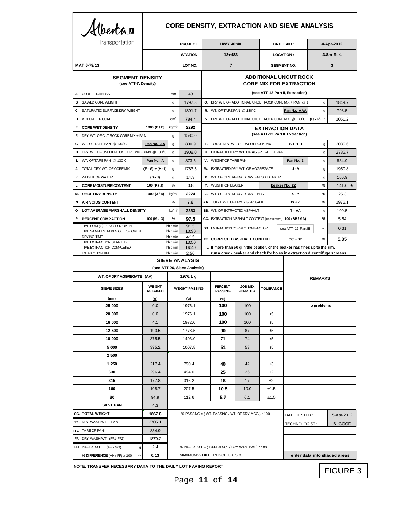| Albertan                                                                     |                                  |                                 |                              |                                                                |                                                            |                                  |                        | <b>CORE DENSITY, EXTRACTION AND SIEVE ANALYSIS</b>                                                                                                     |               |                              |  |
|------------------------------------------------------------------------------|----------------------------------|---------------------------------|------------------------------|----------------------------------------------------------------|------------------------------------------------------------|----------------------------------|------------------------|--------------------------------------------------------------------------------------------------------------------------------------------------------|---------------|------------------------------|--|
| Transportation                                                               | <b>PROJECT:</b>                  |                                 |                              |                                                                | <b>HWY 40:40</b>                                           |                                  | DATE LAID:             |                                                                                                                                                        | 4-Apr-2012    |                              |  |
|                                                                              |                                  | STATION:                        |                              |                                                                | $13 + 483$                                                 |                                  | <b>LOCATION:</b>       |                                                                                                                                                        | 3.8m Rt &     |                              |  |
| MAT 6-79/13                                                                  |                                  |                                 | LOT NO.:                     |                                                                | $\overline{7}$                                             |                                  |                        | <b>SEGMENT NO.</b>                                                                                                                                     |               | 3                            |  |
| <b>SEGMENT DENSITY</b><br>(see ATT-7, Density)                               |                                  |                                 |                              | <b>ADDITIONAL UNCUT ROCK</b><br><b>CORE MIX FOR EXTRACTION</b> |                                                            |                                  |                        |                                                                                                                                                        |               |                              |  |
| A. CORE THICKNESS                                                            |                                  | mm                              | 43                           |                                                                |                                                            |                                  |                        | (see ATT-12 Part II, Extraction)                                                                                                                       |               |                              |  |
| <b>B.</b> SAWED CORE WEIGHT                                                  |                                  | g                               | 1797.8                       |                                                                | Q. DRY WT. OF ADDITIONAL UNCUT ROCK CORE MIX + PAN @ 1     |                                  |                        |                                                                                                                                                        | g             | 1849.7                       |  |
| C. SATURATED SURFACE DRY WEIGHT                                              |                                  | g                               | 1801.7                       |                                                                | R. WT. OF TARE PAN @ 130°C                                 |                                  |                        | Pan No. AAA                                                                                                                                            | g             | 798.5                        |  |
| D. VOLUME OF CORE                                                            |                                  | cm <sup>3</sup>                 | 784.4                        |                                                                |                                                            |                                  |                        | S. DRY WT. OF ADDITIONAL UNCUT ROCK CORE MIX @ 130°C (Q - R) g                                                                                         |               | 1051.2                       |  |
| E CORE WET DENSITY                                                           | 1000 (B/D)                       | kg/m <sup>3</sup>               | 2292                         |                                                                |                                                            |                                  | <b>EXTRACTION DATA</b> |                                                                                                                                                        |               |                              |  |
| F. DRY WT. OF CUT ROCK CORE MIX + PAN                                        |                                  | g                               | 1580.0                       |                                                                |                                                            |                                  |                        | (see ATT-12 Part II, Extraction)                                                                                                                       |               |                              |  |
| G. WT. OF TARE PAN @ 130°C                                                   | Pan No. AA                       | $\mathsf{g}$                    | 830.9                        |                                                                | T. TOTAL DRY WT. OF UNCUT ROCK MIX                         |                                  |                        | $S + H - I$                                                                                                                                            | g             | 2085.6                       |  |
| H. DRY WT. OF UNCUT ROCK CORE MIX + PAN @ 130°C                              |                                  | g                               | 1908.0                       |                                                                | U. EXTRACTED DRY WT. OF AGGREGATE + PAN                    |                                  |                        |                                                                                                                                                        | g             | 2785.7                       |  |
| I. WT. OF TARE PAN $@130^{\circ}$ C                                          | Pan No. A                        | g                               | 873.6                        |                                                                | V. WEIGHT OF TARE PAN                                      |                                  |                        | Pan No. 3                                                                                                                                              | g             | 834.9                        |  |
| TOTAL DRY WT. OF CORE MIX<br>J.                                              | $(F - G) + (H - I)$              | $\mathsf{g}$                    | 1783.5                       |                                                                | W. EXTRACTED DRY WT. OF AGGREGATE                          |                                  |                        | <b>U-V</b>                                                                                                                                             | g             | 1950.8                       |  |
| K. WEIGHT OF WATER                                                           | (B - J)                          | g                               | 14.3                         |                                                                | X. WT. OF CENTRIFUGED DRY FINES + BEAKER                   |                                  |                        |                                                                                                                                                        | g             | 166.9                        |  |
| <b>CORE MOISTURE CONTENT</b><br>L.                                           | 100 $(K/J)$                      | $\%$                            | 0.8                          |                                                                | Y. WEIGHT OF BEAKER                                        |                                  |                        | Beaker No. 22                                                                                                                                          | $\%$          | $141.6$ *                    |  |
| <b>M. CORE DRY DENSITY</b>                                                   | 1000 $(J / D)$                   | kg/m <sup>3</sup>               | 2274                         |                                                                | Z. WT. OF CENTRIFUGED DRY FINES                            |                                  |                        | $X - Y$                                                                                                                                                | $\%$          | 25.3                         |  |
| <b>AIR VOIDS CONTENT</b><br>N.                                               |                                  | %                               | 7.6                          |                                                                | AA. TOTAL WT. OF DRY AGGREGATE                             |                                  |                        | $W + Z$                                                                                                                                                | $\frac{9}{6}$ | 1976.1                       |  |
| O. LOT AVERAGE MARSHALL DENSITY                                              |                                  | kg/m <sup>3</sup>               | 2333                         |                                                                | <b>BB.</b> WT. OF EXTRACTED ASPHALT                        |                                  |                        | T - AA                                                                                                                                                 | g             | 109.5                        |  |
| P. PERCENT COMPACTION                                                        | 100 (M / O)                      | $\frac{9}{6}$                   | 97.5                         |                                                                | CC. EXTRACTION ASPHALT CONTENT (uncorrected) 100 (BB / AA) |                                  |                        |                                                                                                                                                        | %             | 5.54                         |  |
| TIME CORE(S) PLACED IN OVEN<br>TIME SAMPLES TAKEN OUT OF OVEN<br>DRYING TIME |                                  | hh : min<br>hh: min<br>hh : min | 9:15<br>13:30<br>4:15        |                                                                | <b>DD. EXTRACTION CORRECTION FACTOR</b>                    |                                  |                        | see ATT-12, Part III                                                                                                                                   | %             | 0.31                         |  |
| TIME EXTRACTION STARTED                                                      |                                  | hh: min                         | 13:50                        |                                                                | EE CORRECTED ASPHALT CONTENT                               |                                  |                        | $CC + DD$                                                                                                                                              | %             | 5.85                         |  |
| TIME EXTRACTION COMPLETED<br><b>EXTRACTION TIME</b>                          |                                  | hh: min<br>hh: min              | 16:40<br>2:50                |                                                                |                                                            |                                  |                        | * If more than 50 g in the beaker, or the beaker has fines up to the rim,<br>run a check beaker and check for holes in extraction & centrifuge screens |               |                              |  |
|                                                                              |                                  |                                 | <b>SIEVE ANALYSIS</b>        |                                                                |                                                            |                                  |                        |                                                                                                                                                        |               |                              |  |
|                                                                              |                                  |                                 | (see ATT-26, Sieve Analysis) |                                                                |                                                            |                                  |                        |                                                                                                                                                        |               |                              |  |
| WT. OF DRY AGGREGATE (AA)                                                    |                                  | 1976.1 g.                       |                              |                                                                |                                                            |                                  | <b>REMARKS</b>         |                                                                                                                                                        |               |                              |  |
| <b>SIEVE SIZES</b>                                                           | <b>WEIGHT</b><br><b>RETAINED</b> |                                 | <b>WEIGHT PASSING</b>        |                                                                | <b>PERCENT</b><br><b>PASSING</b>                           | <b>JOB MIX</b><br><b>FORMULA</b> | <b>TOLERANCE</b>       |                                                                                                                                                        |               |                              |  |
| $(\mu m)$                                                                    | (g)                              |                                 | (g)                          |                                                                | (%)                                                        | 100                              |                        |                                                                                                                                                        |               |                              |  |
| 25 000                                                                       | 0.0                              |                                 | 1976.1                       |                                                                | 100                                                        |                                  | ±5                     | no problems                                                                                                                                            |               |                              |  |
| 20 000                                                                       | 0.0                              |                                 | 1976.1                       |                                                                | 100                                                        | 100                              |                        |                                                                                                                                                        |               |                              |  |
| 16 000                                                                       | 4.1                              |                                 | 1972.0                       |                                                                | 100                                                        | 100                              | ±5                     |                                                                                                                                                        |               |                              |  |
| 12 500                                                                       | 193.5                            |                                 | 1778.5                       |                                                                | 90                                                         | 87                               | ±5                     |                                                                                                                                                        |               |                              |  |
| 10 000                                                                       | 375.5                            |                                 | 1403.0                       |                                                                | 71<br>51                                                   | 74                               | ±5                     |                                                                                                                                                        |               |                              |  |
| 5 000<br>2 500                                                               | 395.2                            |                                 | 1007.8                       |                                                                |                                                            | 53                               | ±5                     |                                                                                                                                                        |               |                              |  |
| 1 250                                                                        | 217.4                            |                                 | 790.4                        |                                                                | 40                                                         | 42                               |                        |                                                                                                                                                        |               |                              |  |
|                                                                              | 296.4                            |                                 | 494.0                        |                                                                | 25                                                         | 26                               | ±3                     |                                                                                                                                                        |               |                              |  |
| 630<br>315                                                                   | 177.8                            |                                 |                              |                                                                |                                                            | 17                               | ±2<br>±2               |                                                                                                                                                        |               |                              |  |
|                                                                              |                                  | 316.2                           |                              |                                                                | 16                                                         |                                  |                        |                                                                                                                                                        |               |                              |  |
| 160                                                                          | 108.7                            | 207.5                           |                              |                                                                | 10.5                                                       | 10.0                             | ±1.5                   |                                                                                                                                                        |               |                              |  |
| 80<br><b>SIEVE PAN</b>                                                       | 94.9                             |                                 | 112.6                        |                                                                | 5.7                                                        | 6.1                              | ±1.5                   |                                                                                                                                                        |               |                              |  |
| <b>GG. TOTAL WEIGHT</b>                                                      | 4.3<br>1867.8                    |                                 |                              |                                                                | % PASSING = (WT. PASSING / WT. OF DRY AGG) * 100           |                                  |                        |                                                                                                                                                        |               |                              |  |
|                                                                              |                                  |                                 |                              |                                                                |                                                            |                                  |                        | DATE TESTED:                                                                                                                                           |               | 5-Apr-2012                   |  |
| FF1. DRY WASH WT. + PAN                                                      | 2705.1                           |                                 |                              |                                                                |                                                            |                                  |                        | TECHNOLOGIST:                                                                                                                                          |               | B. GOOD                      |  |
| FF2. TARE OF PAN                                                             | 834.9                            |                                 |                              |                                                                |                                                            |                                  |                        |                                                                                                                                                        |               |                              |  |
| FF. DRY WASH WT. (FF1-FF2)<br><b>HH. DIFFERENCE (FF-GG)</b>                  | 1870.2<br>2.4                    |                                 |                              |                                                                | % DIFFERENCE = (DIFFERENCE / DRY WASH WT) * 100            |                                  |                        |                                                                                                                                                        |               |                              |  |
| g                                                                            |                                  |                                 |                              |                                                                |                                                            |                                  |                        |                                                                                                                                                        |               |                              |  |
| % DIFFERENCE (HH / FF) x 100<br>$\%$                                         | 0.13                             |                                 |                              |                                                                | MAXIMUM % DIFFERENCE IS 0.5 %                              |                                  |                        |                                                                                                                                                        |               | enter data into shaded areas |  |

**NOTE: TRANSFER NECESSARY DATA TO THE DAILY LOT PAVING REPORT**

Page **11** of **14**

FIGURE 3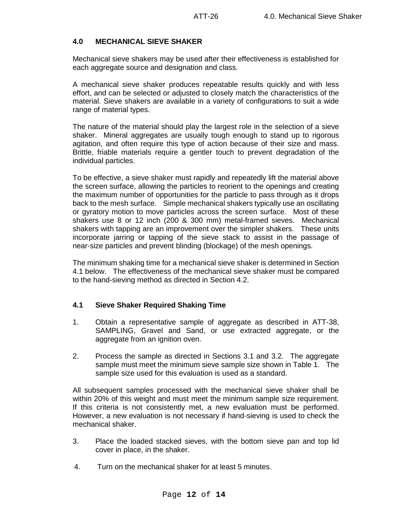#### **4.0 MECHANICAL SIEVE SHAKER**

Mechanical sieve shakers may be used after their effectiveness is established for each aggregate source and designation and class.

A mechanical sieve shaker produces repeatable results quickly and with less effort, and can be selected or adjusted to closely match the characteristics of the material. Sieve shakers are available in a variety of configurations to suit a wide range of material types.

The nature of the material should play the largest role in the selection of a sieve shaker. Mineral aggregates are usually tough enough to stand up to rigorous agitation, and often require this type of action because of their size and mass. Brittle, friable materials require a gentler touch to prevent degradation of the individual particles.

To be effective, a sieve shaker must rapidly and repeatedly lift the material above the screen surface, allowing the particles to reorient to the openings and creating the maximum number of opportunities for the particle to pass through as it drops back to the mesh surface. Simple mechanical shakers typically use an oscillating or gyratory motion to move particles across the screen surface. Most of these shakers use 8 or 12 inch (200 & 300 mm) metal-framed sieves. Mechanical shakers with tapping are an improvement over the simpler shakers. These units incorporate jarring or tapping of the sieve stack to assist in the passage of near-size particles and prevent blinding (blockage) of the mesh openings.

The minimum shaking time for a mechanical sieve shaker is determined in Section 4.1 below. The effectiveness of the mechanical sieve shaker must be compared to the hand-sieving method as directed in Section 4.2.

#### **4.1 Sieve Shaker Required Shaking Time**

- 1. Obtain a representative sample of aggregate as described in ATT-38, SAMPLING, Gravel and Sand, or use extracted aggregate, or the aggregate from an ignition oven.
- 2. Process the sample as directed in Sections 3.1 and 3.2. The aggregate sample must meet the minimum sieve sample size shown in Table 1. The sample size used for this evaluation is used as a standard.

All subsequent samples processed with the mechanical sieve shaker shall be within 20% of this weight and must meet the minimum sample size requirement. If this criteria is not consistently met, a new evaluation must be performed. However, a new evaluation is not necessary if hand-sieving is used to check the mechanical shaker.

- 3. Place the loaded stacked sieves, with the bottom sieve pan and top lid cover in place, in the shaker.
- 4. Turn on the mechanical shaker for at least 5 minutes.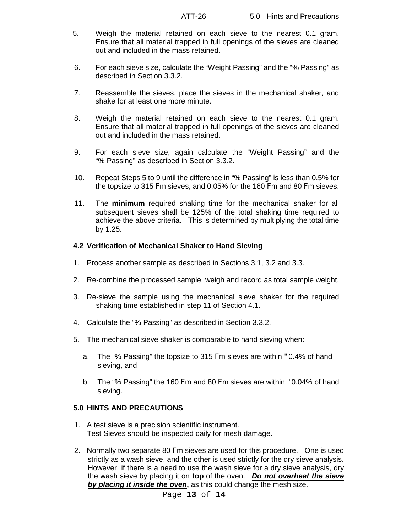- 5. Weigh the material retained on each sieve to the nearest 0.1 gram. Ensure that all material trapped in full openings of the sieves are cleaned out and included in the mass retained.
- 6. For each sieve size, calculate the "Weight Passing" and the "% Passing" as described in Section 3.3.2.
- 7. Reassemble the sieves, place the sieves in the mechanical shaker, and shake for at least one more minute.
- 8. Weigh the material retained on each sieve to the nearest 0.1 gram. Ensure that all material trapped in full openings of the sieves are cleaned out and included in the mass retained.
- 9. For each sieve size, again calculate the "Weight Passing" and the "% Passing" as described in Section 3.3.2.
- 10. Repeat Steps 5 to 9 until the difference in "% Passing" is less than 0.5% for the topsize to 315 Fm sieves, and 0.05% for the 160 Fm and 80 Fm sieves.
- 11. The **minimum** required shaking time for the mechanical shaker for all subsequent sieves shall be 125% of the total shaking time required to achieve the above criteria. This is determined by multiplying the total time by 1.25.

#### **4.2 Verification of Mechanical Shaker to Hand Sieving**

- 1. Process another sample as described in Sections 3.1, 3.2 and 3.3.
- 2. Re-combine the processed sample, weigh and record as total sample weight.
- 3. Re-sieve the sample using the mechanical sieve shaker for the required shaking time established in step 11 of Section 4.1.
- 4. Calculate the "% Passing" as described in Section 3.3.2.
- 5. The mechanical sieve shaker is comparable to hand sieving when:
	- a. The "% Passing" the topsize to 315 Fm sieves are within "0.4% of hand sieving, and
	- b. The "% Passing" the 160 Fm and 80 Fm sieves are within "0.04% of hand sieving.

#### **5.0 HINTS AND PRECAUTIONS**

- 1. A test sieve is a precision scientific instrument. Test Sieves should be inspected daily for mesh damage.
- 2. Normally two separate 80 Fm sieves are used for this procedure. One is used strictly as a wash sieve, and the other is used strictly for the dry sieve analysis. However, if there is a need to use the wash sieve for a dry sieve analysis, dry the wash sieve by placing it on **top** of the oven. *Do not overheat the sieve by placing it inside the oven***,** as this could change the mesh size.